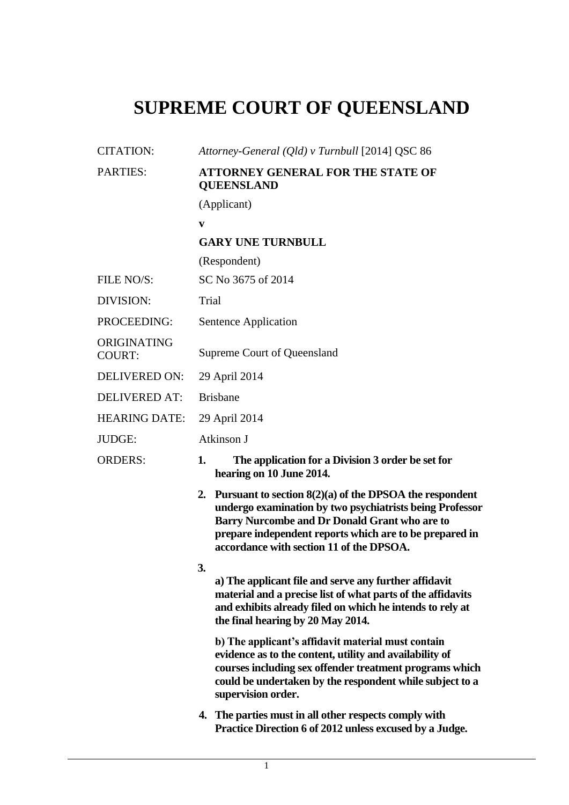## **SUPREME COURT OF QUEENSLAND**

| <b>CITATION:</b>             | Attorney-General (Qld) v Turnbull [2014] QSC 86                                                                                                                                                                                                                                     |
|------------------------------|-------------------------------------------------------------------------------------------------------------------------------------------------------------------------------------------------------------------------------------------------------------------------------------|
| PARTIES:                     | <b>ATTORNEY GENERAL FOR THE STATE OF</b><br><b>QUEENSLAND</b>                                                                                                                                                                                                                       |
|                              | (Applicant)                                                                                                                                                                                                                                                                         |
|                              | V                                                                                                                                                                                                                                                                                   |
|                              | <b>GARY UNE TURNBULL</b>                                                                                                                                                                                                                                                            |
|                              | (Respondent)                                                                                                                                                                                                                                                                        |
| FILE NO/S:                   | SC No 3675 of 2014                                                                                                                                                                                                                                                                  |
| DIVISION:                    | Trial                                                                                                                                                                                                                                                                               |
| PROCEEDING:                  | Sentence Application                                                                                                                                                                                                                                                                |
| ORIGINATING<br><b>COURT:</b> | Supreme Court of Queensland                                                                                                                                                                                                                                                         |
| <b>DELIVERED ON:</b>         | 29 April 2014                                                                                                                                                                                                                                                                       |
| <b>DELIVERED AT:</b>         | <b>Brisbane</b>                                                                                                                                                                                                                                                                     |
| <b>HEARING DATE:</b>         | 29 April 2014                                                                                                                                                                                                                                                                       |
| JUDGE:                       | Atkinson J                                                                                                                                                                                                                                                                          |
| <b>ORDERS:</b>               | 1.<br>The application for a Division 3 order be set for<br>hearing on 10 June 2014.                                                                                                                                                                                                 |
|                              | Pursuant to section $8(2)(a)$ of the DPSOA the respondent<br>2.<br>undergo examination by two psychiatrists being Professor<br>Barry Nurcombe and Dr Donald Grant who are to<br>prepare independent reports which are to be prepared in<br>accordance with section 11 of the DPSOA. |
|                              | 3.<br>a) The applicant file and serve any further affidavit<br>material and a precise list of what parts of the affidavits<br>and exhibits already filed on which he intends to rely at<br>the final hearing by 20 May 2014.                                                        |
|                              | b) The applicant's affidavit material must contain<br>evidence as to the content, utility and availability of<br>courses including sex offender treatment programs which<br>could be undertaken by the respondent while subject to a<br>supervision order.                          |
|                              | 4. The parties must in all other respects comply with<br>Practice Direction 6 of 2012 unless excused by a Judge.                                                                                                                                                                    |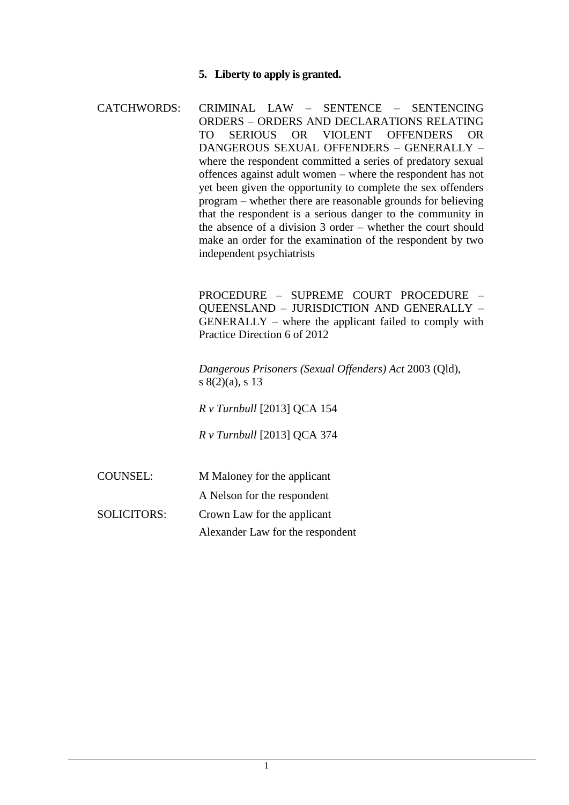## **5. Liberty to apply is granted.**

| <b>CATCHWORDS:</b> | CRIMINAL LAW - SENTENCE - SENTENCING                           |
|--------------------|----------------------------------------------------------------|
|                    | ORDERS - ORDERS AND DECLARATIONS RELATING                      |
|                    | OR VIOLENT OFFENDERS<br><b>SERIOUS</b><br>OR.                  |
|                    | DANGEROUS SEXUAL OFFENDERS - GENERALLY -                       |
|                    | where the respondent committed a series of predatory sexual    |
|                    | offences against adult women – where the respondent has not    |
|                    | yet been given the opportunity to complete the sex offenders   |
|                    | program – whether there are reasonable grounds for believing   |
|                    | that the respondent is a serious danger to the community in    |
|                    | the absence of a division $3$ order – whether the court should |
|                    | make an order for the examination of the respondent by two     |
|                    | independent psychiatrists                                      |

PROCEDURE – SUPREME COURT PROCEDURE – QUEENSLAND – JURISDICTION AND GENERALLY – GENERALLY – where the applicant failed to comply with Practice Direction 6 of 2012

*Dangerous Prisoners (Sexual Offenders) Act* 2003 (Qld), s 8(2)(a), s 13

*R v Turnbull* [2013] QCA 154

*R v Turnbull* [2013] QCA 374

COUNSEL: M Maloney for the applicant

A Nelson for the respondent

SOLICITORS: Crown Law for the applicant

Alexander Law for the respondent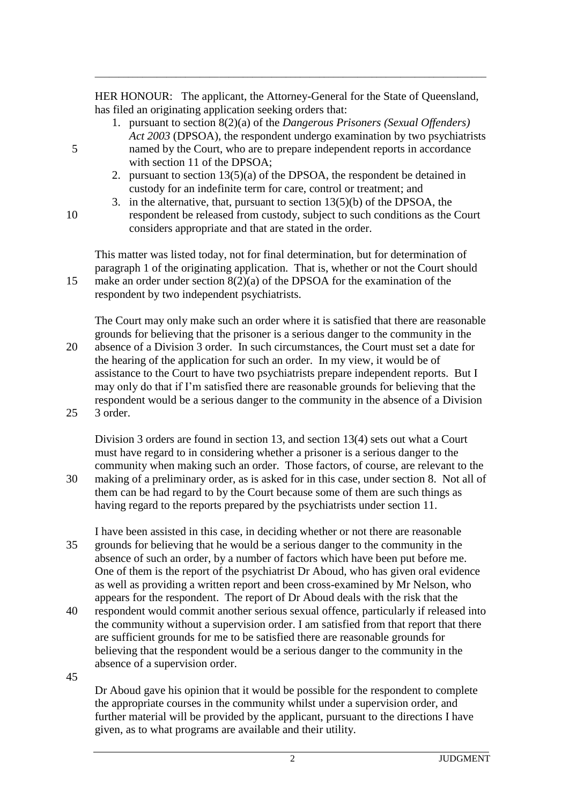HER HONOUR: The applicant, the Attorney-General for the State of Queensland, has filed an originating application seeking orders that:

\_\_\_\_\_\_\_\_\_\_\_\_\_\_\_\_\_\_\_\_\_\_\_\_\_\_\_\_\_\_\_\_\_\_\_\_\_\_\_\_\_\_\_\_\_\_\_\_\_\_\_\_\_\_\_\_\_\_\_\_\_\_\_\_\_\_\_\_\_\_\_\_\_\_\_\_\_\_\_\_\_\_

- 1. pursuant to section 8(2)(a) of the *Dangerous Prisoners (Sexual Offenders) Act 2003* (DPSOA), the respondent undergo examination by two psychiatrists 5 named by the Court, who are to prepare independent reports in accordance with section 11 of the DPSOA;
	- 2. pursuant to section 13(5)(a) of the DPSOA, the respondent be detained in custody for an indefinite term for care, control or treatment; and
- 3. in the alternative, that, pursuant to section 13(5)(b) of the DPSOA, the 10 respondent be released from custody, subject to such conditions as the Court considers appropriate and that are stated in the order.

This matter was listed today, not for final determination, but for determination of paragraph 1 of the originating application. That is, whether or not the Court should 15 make an order under section 8(2)(a) of the DPSOA for the examination of the respondent by two independent psychiatrists.

The Court may only make such an order where it is satisfied that there are reasonable grounds for believing that the prisoner is a serious danger to the community in the 20 absence of a Division 3 order. In such circumstances, the Court must set a date for the hearing of the application for such an order. In my view, it would be of assistance to the Court to have two psychiatrists prepare independent reports. But I may only do that if I'm satisfied there are reasonable grounds for believing that the

respondent would be a serious danger to the community in the absence of a Division 25 3 order.

Division 3 orders are found in section 13, and section 13(4) sets out what a Court must have regard to in considering whether a prisoner is a serious danger to the community when making such an order. Those factors, of course, are relevant to the

30 making of a preliminary order, as is asked for in this case, under section 8. Not all of them can be had regard to by the Court because some of them are such things as having regard to the reports prepared by the psychiatrists under section 11.

I have been assisted in this case, in deciding whether or not there are reasonable 35 grounds for believing that he would be a serious danger to the community in the absence of such an order, by a number of factors which have been put before me. One of them is the report of the psychiatrist Dr Aboud, who has given oral evidence as well as providing a written report and been cross-examined by Mr Nelson, who appears for the respondent. The report of Dr Aboud deals with the risk that the

40 respondent would commit another serious sexual offence, particularly if released into the community without a supervision order. I am satisfied from that report that there are sufficient grounds for me to be satisfied there are reasonable grounds for believing that the respondent would be a serious danger to the community in the absence of a supervision order.

45

Dr Aboud gave his opinion that it would be possible for the respondent to complete the appropriate courses in the community whilst under a supervision order, and further material will be provided by the applicant, pursuant to the directions I have given, as to what programs are available and their utility.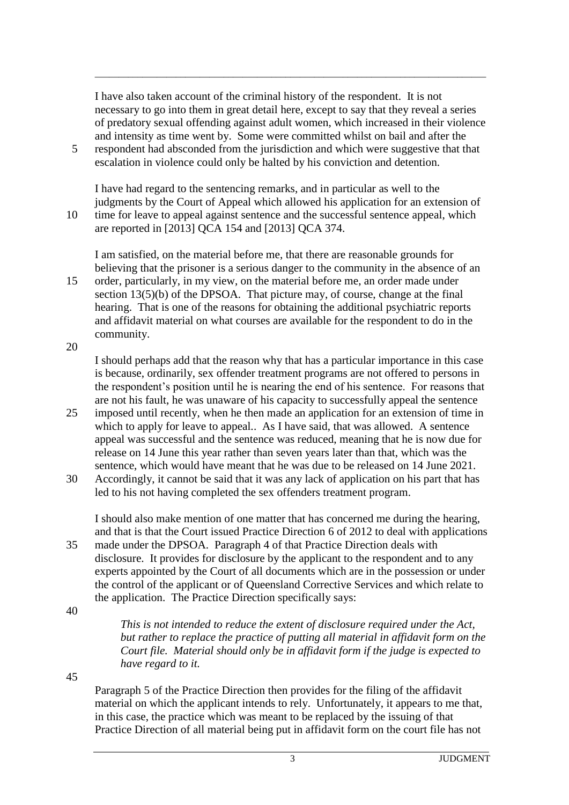I have also taken account of the criminal history of the respondent. It is not necessary to go into them in great detail here, except to say that they reveal a series of predatory sexual offending against adult women, which increased in their violence and intensity as time went by. Some were committed whilst on bail and after the 5 respondent had absconded from the jurisdiction and which were suggestive that that

\_\_\_\_\_\_\_\_\_\_\_\_\_\_\_\_\_\_\_\_\_\_\_\_\_\_\_\_\_\_\_\_\_\_\_\_\_\_\_\_\_\_\_\_\_\_\_\_\_\_\_\_\_\_\_\_\_\_\_\_\_\_\_\_\_\_\_\_\_\_\_\_\_\_\_\_\_\_\_\_\_\_

escalation in violence could only be halted by his conviction and detention.

I have had regard to the sentencing remarks, and in particular as well to the judgments by the Court of Appeal which allowed his application for an extension of 10 time for leave to appeal against sentence and the successful sentence appeal, which

are reported in [2013] QCA 154 and [2013] QCA 374.

I am satisfied, on the material before me, that there are reasonable grounds for believing that the prisoner is a serious danger to the community in the absence of an

15 order, particularly, in my view, on the material before me, an order made under section 13(5)(b) of the DPSOA. That picture may, of course, change at the final hearing. That is one of the reasons for obtaining the additional psychiatric reports and affidavit material on what courses are available for the respondent to do in the community.

20

I should perhaps add that the reason why that has a particular importance in this case is because, ordinarily, sex offender treatment programs are not offered to persons in the respondent's position until he is nearing the end of his sentence. For reasons that are not his fault, he was unaware of his capacity to successfully appeal the sentence

- 25 imposed until recently, when he then made an application for an extension of time in which to apply for leave to appeal.. As I have said, that was allowed. A sentence appeal was successful and the sentence was reduced, meaning that he is now due for release on 14 June this year rather than seven years later than that, which was the sentence, which would have meant that he was due to be released on 14 June 2021.
- 30 Accordingly, it cannot be said that it was any lack of application on his part that has led to his not having completed the sex offenders treatment program.

I should also make mention of one matter that has concerned me during the hearing, and that is that the Court issued Practice Direction 6 of 2012 to deal with applications

35 made under the DPSOA. Paragraph 4 of that Practice Direction deals with disclosure. It provides for disclosure by the applicant to the respondent and to any experts appointed by the Court of all documents which are in the possession or under the control of the applicant or of Queensland Corrective Services and which relate to the application. The Practice Direction specifically says:

40

*This is not intended to reduce the extent of disclosure required under the Act, but rather to replace the practice of putting all material in affidavit form on the Court file. Material should only be in affidavit form if the judge is expected to have regard to it.* 

45

Paragraph 5 of the Practice Direction then provides for the filing of the affidavit material on which the applicant intends to rely. Unfortunately, it appears to me that, in this case, the practice which was meant to be replaced by the issuing of that Practice Direction of all material being put in affidavit form on the court file has not